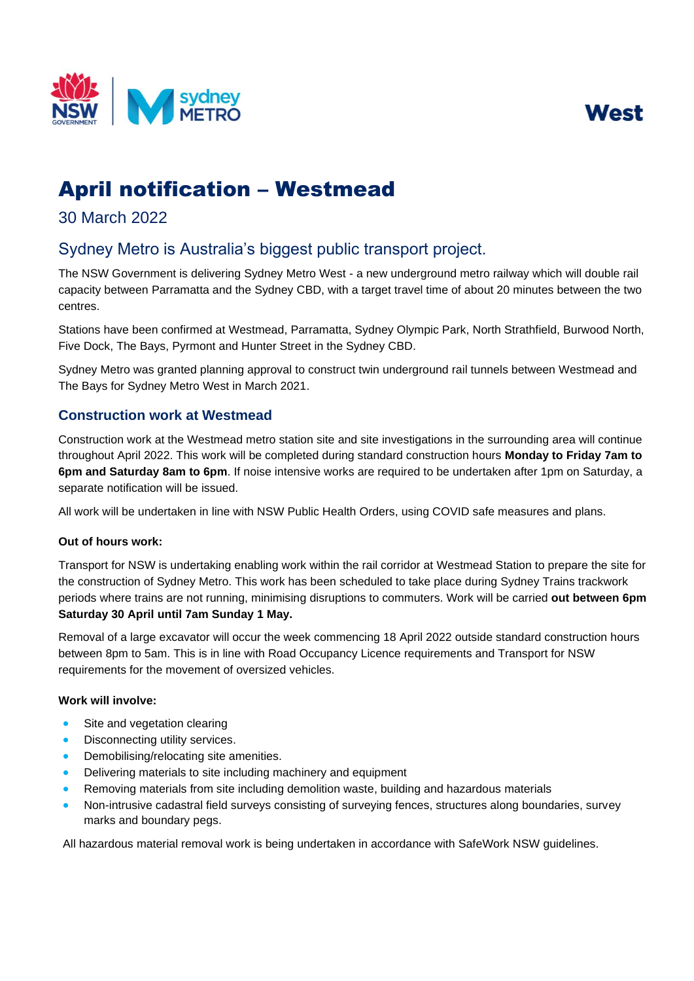



# April notification – Westmead

## 30 March 2022

## Sydney Metro is Australia's biggest public transport project.

The NSW Government is delivering Sydney Metro West - a new underground metro railway which will double rail capacity between Parramatta and the Sydney CBD, with a target travel time of about 20 minutes between the two centres.

Stations have been confirmed at Westmead, Parramatta, Sydney Olympic Park, North Strathfield, Burwood North, Five Dock, The Bays, Pyrmont and Hunter Street in the Sydney CBD.

 Sydney Metro was granted planning approval to construct twin underground rail tunnels between Westmead and The Bays for Sydney Metro West in March 2021.

### **Construction work at Westmead**

 throughout April 2022. This work will be completed during standard construction hours **Monday to Friday 7am to 6pm and Saturday 8am to 6pm**. If noise intensive works are required to be undertaken after 1pm on Saturday, a Construction work at the Westmead metro station site and site investigations in the surrounding area will continue separate notification will be issued.

All work will be undertaken in line with NSW Public Health Orders, using COVID safe measures and plans.

#### **Out of hours work:**

 the construction of Sydney Metro. This work has been scheduled to take place during Sydney Trains trackwork Transport for NSW is undertaking enabling work within the rail corridor at Westmead Station to prepare the site for periods where trains are not running, minimising disruptions to commuters. Work will be carried **out between 6pm Saturday 30 April until 7am Sunday 1 May.** 

 Removal of a large excavator will occur the week commencing 18 April 2022 outside standard construction hours between 8pm to 5am. This is in line with Road Occupancy Licence requirements and Transport for NSW requirements for the movement of oversized vehicles.

#### **Work will involve:**

- Site and vegetation clearing
- Disconnecting utility services.
- Demobilising/relocating site amenities.
- Delivering materials to site including machinery and equipment
- Removing materials from site including demolition waste, building and hazardous materials
- Non-intrusive cadastral field surveys consisting of surveying fences, structures along boundaries, survey marks and boundary pegs.

All hazardous material removal work is being undertaken in accordance with SafeWork NSW guidelines.